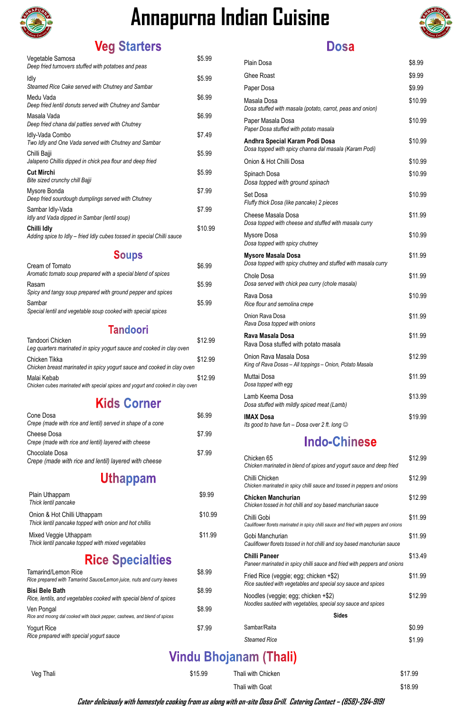| Vegetable Samosa<br>Deep fried turnovers stuffed with potatoes and peas               | \$5.99  |
|---------------------------------------------------------------------------------------|---------|
| ldly<br>Steamed Rice Cake served with Chutney and Sambar                              | \$5.99  |
| Medu Vada<br>Deep fried lentil donuts served with Chutney and Sambar                  | \$6.99  |
| Masala Vada<br>Deep fried chana dal patties served with Chutney                       | \$6.99  |
| Idly-Vada Combo<br>Two Idly and One Vada served with Chutney and Sambar               | \$7.49  |
| Chilli Bajji<br>Jalapeno Chillis dipped in chick pea flour and deep fried             | \$5.99  |
| <b>Cut Mirchi</b><br>Bite sized crunchy chill Bajji                                   | \$5.99  |
| Mysore Bonda<br>Deep fried sourdough dumplings served with Chutney                    | \$7.99  |
| Sambar Idly-Vada<br>Idly and Vada dipped in Sambar (lentil soup)                      | \$7.99  |
| Chilli Idly<br>Adding spice to Idly – fried Idly cubes tossed in special Chilli sauce | \$10.99 |

#### **Soups**

| Cream of Tomato<br>Aromatic tomato soup prepared with a special blend of spices | \$6.99 |
|---------------------------------------------------------------------------------|--------|
| Rasam<br>Spicy and tangy soup prepared with ground pepper and spices            | \$5.99 |
| Sambar<br>Special lentil and vegetable soup cooked with special spices          | \$5.99 |

#### **Tandoori**

| Tandoori Chicken                                                                        | \$12.99 |
|-----------------------------------------------------------------------------------------|---------|
| Leg quarters marinated in spicy yogurt sauce and cooked in clay oven                    |         |
| Chicken Tikka<br>Chicken breast marinated in spicy yogurt sauce and cooked in clay oven | \$12.99 |
| Malai Kebab                                                                             | \$12.99 |
| Chicken cubes marinated with special spices and yogurt and cooked in clay oven          |         |

#### **Kids Corner**

| Cone Dosa                                                   | \$6.99 |
|-------------------------------------------------------------|--------|
| Crepe (made with rice and lentil) served in shape of a cone |        |
| Cheese Dosa                                                 | \$7.99 |
| Crepe (made with rice and lentil) layered with cheese       |        |
| Chocolate Dosa                                              | \$7.99 |
| Crepe (made with rice and lentil) layered with cheese       |        |
|                                                             |        |

## **Uthappam**

| Plain Uthappam<br>Thick lentil pancake                                                | \$9.99  |
|---------------------------------------------------------------------------------------|---------|
| Onion & Hot Chilli Uthappam<br>Thick lentil pancake topped with onion and hot chillis | \$10.99 |

#### **Dosa**

*Thick lentil pancake topped with onion and hot chillis*

#### **Rice Specialties**

| <b>Tamarind/Lemon Rice</b><br>Rice prepared with Tamarind Sauce/Lemon juice, nuts and curry leaves | \$8.99 | Frie<br>Rice |
|----------------------------------------------------------------------------------------------------|--------|--------------|
| <b>Bisi Bele Bath</b><br>Rice, lentils, and vegetables cooked with special blend of spices         | \$8.99 | Noo          |
| Ven Pongal<br>Rice and moong dal cooked with black pepper, cashews, and blend of spices            | \$8.99 | Nood         |
| Yogurt Rice<br>Rice prepared with special yogurt sauce                                             | \$7.99 | Sam          |
|                                                                                                    |        | Stea         |

| <b>Plain Dosa</b>                                                                         | \$8.99  |
|-------------------------------------------------------------------------------------------|---------|
| <b>Ghee Roast</b>                                                                         | \$9.99  |
| Paper Dosa                                                                                | \$9.99  |
| Masala Dosa<br>Dosa stuffed with masala (potato, carrot, peas and onion)                  | \$10.99 |
| Paper Masala Dosa<br>Paper Dosa stuffed with potato masala                                | \$10.99 |
| Andhra Special Karam Podi Dosa<br>Dosa topped with spicy channa dal masala (Karam Podi)   | \$10.99 |
| Onion & Hot Chilli Dosa                                                                   | \$10.99 |
| Spinach Dosa<br>Dosa topped with ground spinach                                           | \$10.99 |
| Set Dosa<br>Fluffy thick Dosa (like pancake) 2 pieces                                     | \$10.99 |
| Cheese Masala Dosa<br>Dosa topped with cheese and stuffed with masala curry               | \$11.99 |
| Mysore Dosa<br>Dosa topped with spicy chutney                                             | \$10.99 |
| <b>Mysore Masala Dosa</b><br>Dosa topped with spicy chutney and stuffed with masala curry | \$11.99 |
| <b>Chole Dosa</b><br>Dosa served with chick pea curry (chole masala)                      | \$11.99 |
| Rava Dosa<br>Rice flour and semolina crepe                                                | \$10.99 |
| Onion Rava Dosa<br>Rava Dosa topped with onions                                           | \$11.99 |
| Rava Masala Dosa<br>Rava Dosa stuffed with potato masala                                  | \$11.99 |
| Onion Rava Masala Dosa<br>King of Rava Dosas - All toppings - Onion, Potato Masala        | \$12.99 |
| Muttai Dosa<br>Dosa topped with egg                                                       | \$11.99 |
| Lamb Keema Dosa<br>Dosa stuffed with mildly spiced meat (Lamb)                            | \$13.99 |
| <b>IMAX Dosa</b><br>Its good to have fun - Dosa over 2 ft. long $\odot$                   | \$19.99 |

**Indo-Chinese** 

| lixed Veggie Uthappam<br>hick lentil pancake topped with mixed vegetables                | \$11.99 | Gobi Manchurian<br>Cauliflower florets tossed in hot chilli and soy based manchurian sauce              | \$11.99 |
|------------------------------------------------------------------------------------------|---------|---------------------------------------------------------------------------------------------------------|---------|
| <b>Rice Specialties</b>                                                                  |         | <b>Chilli Paneer</b><br>Paneer marinated in spicy chilli sauce and fried with peppers and onions        | \$13.49 |
| amarind/Lemon Rice<br>ce prepared with Tamarind Sauce/Lemon juice, nuts and curry leaves | \$8.99  | Fried Rice (veggie; egg; chicken +\$2)<br>Rice sautéed with vegetables and special soy sauce and spices | \$11.99 |
| isi Bele Bath<br>ce, lentils, and vegetables cooked with special blend of spices         | \$8.99  | Noodles (veggie; egg; chicken +\$2)                                                                     | \$12.99 |
| en Pongal<br>ce and moong dal cooked with black pepper, cashews, and blend of spices     | \$8.99  | Noodles sautéed with vegetables, special soy sauce and spices<br><b>Sides</b>                           |         |
| ogurt Rice                                                                               | \$7.99  | Sambar/Raita                                                                                            | \$0.99  |
| ce prepared with special yogurt sauce                                                    |         | <b>Steamed Rice</b>                                                                                     | \$1.99  |
|                                                                                          |         | <b>Vindu Bhojanam (Thali)</b>                                                                           |         |
| Veg Thali                                                                                | \$15.99 | Thali with Chicken                                                                                      | \$17.99 |
|                                                                                          |         | Thali with Goat                                                                                         | \$18.99 |

| Chicken 65<br>Chicken marinated in blend of spices and yogurt sauce and deep fried         | \$12.99 |
|--------------------------------------------------------------------------------------------|---------|
| Chilli Chicken<br>Chicken marinated in spicy chilli sauce and tossed in peppers and onions | \$12.99 |
| <b>Chicken Manchurian</b><br>Chicken tossed in hot chilli and soy based manchurian sauce   | \$12.99 |
| Chilli Gobi                                                                                | \$11.99 |

*Cauliflower florets marinated in spicy chilli sauce and fried with peppers and onions*



# **Annapurna Indian Cuisine**



## **Veg Starters**

**Cater deliciously with homestyle cooking from us along with on-site Dosa Grill. Catering Contact – (858)-284-9191**